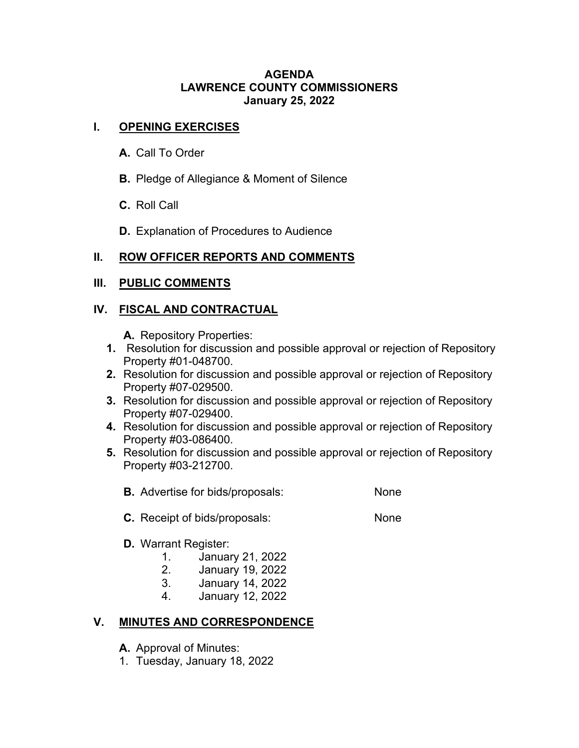#### **AGENDA LAWRENCE COUNTY COMMISSIONERS January 25, 2022**

### **I. OPENING EXERCISES**

- **A.** Call To Order
- **B.** Pledge of Allegiance & Moment of Silence
- **C.** Roll Call
- **D.** Explanation of Procedures to Audience

# **II. ROW OFFICER REPORTS AND COMMENTS**

## **III. PUBLIC COMMENTS**

## **IV. FISCAL AND CONTRACTUAL**

**A.** Repository Properties:

- **1.** Resolution for discussion and possible approval or rejection of Repository Property #01-048700.
- **2.** Resolution for discussion and possible approval or rejection of Repository Property #07-029500.
- **3.** Resolution for discussion and possible approval or rejection of Repository Property #07-029400.
- **4.** Resolution for discussion and possible approval or rejection of Repository Property #03-086400.
- **5.** Resolution for discussion and possible approval or rejection of Repository Property #03-212700.
	- **B.** Advertise for bids/proposals: None
	- **C.** Receipt of bids/proposals: None

# **D.** Warrant Register:

- 1. January 21, 2022
- 2. January 19, 2022
- 3. January 14, 2022
- 4. January 12, 2022

# **V. MINUTES AND CORRESPONDENCE**

- **A.** Approval of Minutes:
- 1. Tuesday, January 18, 2022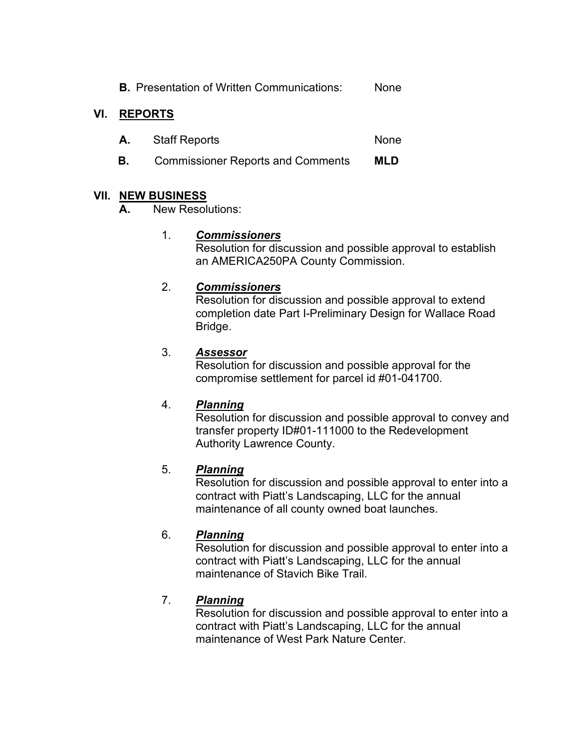**B.** Presentation of Written Communications: None

## **VI. REPORTS**

- A. Staff Reports None
- **B.** Commissioner Reports and Comments **MLD**

### **VII. NEW BUSINESS**

**A.** New Resolutions:

### 1. *Commissioners*

Resolution for discussion and possible approval to establish an AMERICA250PA County Commission.

### 2. *Commissioners*

Resolution for discussion and possible approval to extend completion date Part I-Preliminary Design for Wallace Road Bridge.

### 3. *Assessor*

Resolution for discussion and possible approval for the compromise settlement for parcel id #01-041700.

### 4. *Planning*

Resolution for discussion and possible approval to convey and transfer property ID#01-111000 to the Redevelopment Authority Lawrence County.

### 5. *Planning*

Resolution for discussion and possible approval to enter into a contract with Piatt's Landscaping, LLC for the annual maintenance of all county owned boat launches.

### 6. *Planning*

Resolution for discussion and possible approval to enter into a contract with Piatt's Landscaping, LLC for the annual maintenance of Stavich Bike Trail.

### 7. *Planning*

Resolution for discussion and possible approval to enter into a contract with Piatt's Landscaping, LLC for the annual maintenance of West Park Nature Center.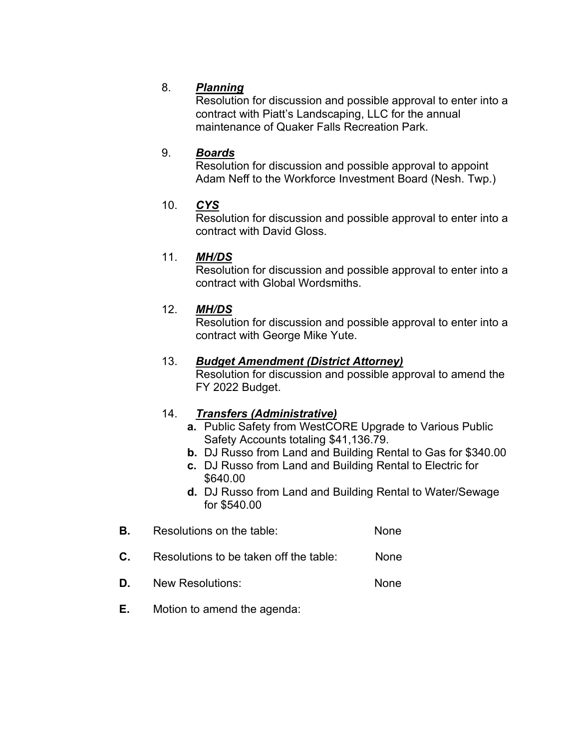### 8. *Planning*

Resolution for discussion and possible approval to enter into a contract with Piatt's Landscaping, LLC for the annual maintenance of Quaker Falls Recreation Park.

### 9. *Boards*

Resolution for discussion and possible approval to appoint Adam Neff to the Workforce Investment Board (Nesh. Twp.)

### 10. *CYS*

Resolution for discussion and possible approval to enter into a contract with David Gloss.

### 11. *MH/DS*

Resolution for discussion and possible approval to enter into a contract with Global Wordsmiths.

### 12. *MH/DS*

Resolution for discussion and possible approval to enter into a contract with George Mike Yute.

### 13. *Budget Amendment (District Attorney)*

Resolution for discussion and possible approval to amend the FY 2022 Budget.

#### 14. *Transfers (Administrative)*

- **a.** Public Safety from WestCORE Upgrade to Various Public Safety Accounts totaling \$41,136.79.
- **b.** DJ Russo from Land and Building Rental to Gas for \$340.00
- **c.** DJ Russo from Land and Building Rental to Electric for \$640.00
- **d.** DJ Russo from Land and Building Rental to Water/Sewage for \$540.00
- **B.** Resolutions on the table: None
- **C.** Resolutions to be taken off the table: None
- **D.** New Resolutions: None
- **E.** Motion to amend the agenda: